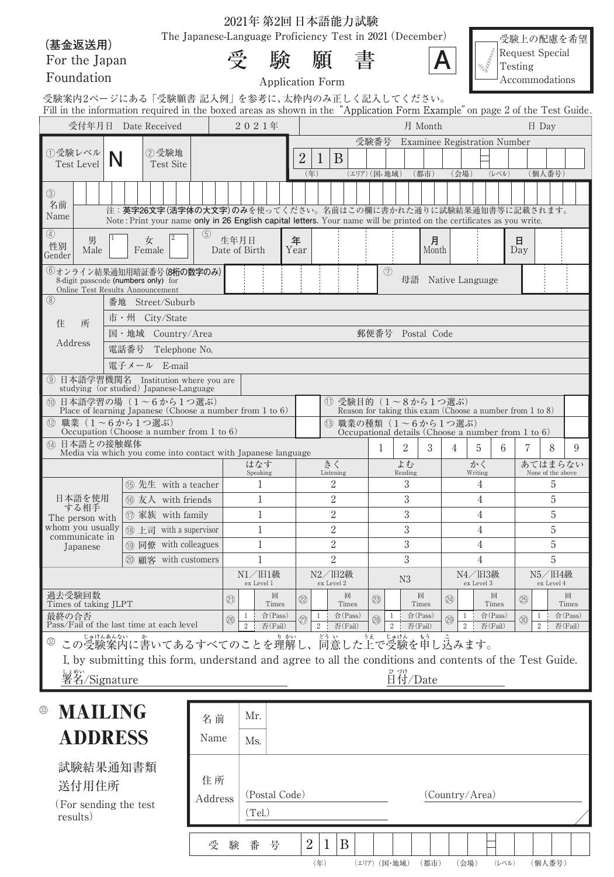|                                     |                                                                                                                                                                           |         | 404132 外421 12 个阳 11675 的微人 | The Japanese-Language Proficiency Test in 2021 (December) |                      |                                  |                  |             |                                                                                    |                  |                    |                                              |                  | 受験上の配慮を希望              |                              |                  |
|-------------------------------------|---------------------------------------------------------------------------------------------------------------------------------------------------------------------------|---------|-----------------------------|-----------------------------------------------------------|----------------------|----------------------------------|------------------|-------------|------------------------------------------------------------------------------------|------------------|--------------------|----------------------------------------------|------------------|------------------------|------------------------------|------------------|
| (基金返送用)                             |                                                                                                                                                                           |         |                             |                                                           |                      |                                  |                  |             |                                                                                    |                  |                    | <b>Salarange</b>                             |                  | <b>Request Special</b> |                              |                  |
| For the Japan                       |                                                                                                                                                                           |         | 受                           | 験                                                         |                      | 願                                | 書                |             |                                                                                    |                  |                    |                                              | Testing          |                        |                              |                  |
| Foundation                          |                                                                                                                                                                           |         |                             | <b>Application Form</b>                                   |                      |                                  |                  |             |                                                                                    |                  |                    |                                              |                  | Accommodations         |                              |                  |
|                                     | 受験案内2ページにある「受験願書 記入例」を参考に、太枠内のみ正しく記入してください。<br>Fill in the information required in the boxed areas as shown in the "Application Form Example" on page 2 of the Test Guide |         |                             |                                                           |                      |                                  |                  |             |                                                                                    |                  |                    |                                              |                  |                        |                              |                  |
|                                     | 受付年月日 Date Received                                                                                                                                                       |         |                             | 2021年                                                     |                      |                                  |                  |             |                                                                                    | 月 Month          |                    |                                              |                  | $\boxminus$ Day        |                              |                  |
|                                     |                                                                                                                                                                           |         |                             |                                                           |                      |                                  |                  |             | 受験番号 Examinee Registration Number                                                  |                  |                    |                                              |                  |                        |                              |                  |
| ①受験レベル<br><b>Test Level</b>         | ②受験地<br>N<br><b>Test Site</b>                                                                                                                                             |         |                             |                                                           | $\overline{2}$       | B<br>$\perp$                     |                  |             |                                                                                    |                  |                    |                                              |                  |                        |                              |                  |
|                                     |                                                                                                                                                                           |         |                             |                                                           | (年)                  |                                  | (エリア) (国·地域)     |             |                                                                                    | (都市)             | (会場)               |                                              | (レベル)            |                        | (個人番号)                       |                  |
| $\circled{3}$                       |                                                                                                                                                                           |         |                             |                                                           |                      |                                  |                  |             |                                                                                    |                  |                    |                                              |                  |                        |                              |                  |
| 名前<br>Name                          | 注:英字26文字(活字体の大文字)のみを使ってください。名前はこの欄に書かれた通りに試験結果通知書等に記載されます。                                                                                                                |         |                             |                                                           |                      |                                  |                  |             |                                                                                    |                  |                    |                                              |                  |                        |                              |                  |
| $\circled{4}$                       | Note: Print your name only in 26 English capital letters. Your name will be printed on the certificates as you write.                                                     | (5)     |                             |                                                           |                      |                                  |                  |             |                                                                                    |                  |                    |                                              |                  |                        |                              |                  |
| 男<br>性別<br>Male                     | 女<br>Female                                                                                                                                                               |         | 生年月日<br>Date of Birth       |                                                           | 年<br>Year            |                                  |                  |             |                                                                                    | 月<br>Month       |                    |                                              |                  | 日<br>Day               |                              |                  |
| Gender                              |                                                                                                                                                                           |         |                             |                                                           |                      |                                  |                  |             |                                                                                    |                  |                    |                                              |                  |                        |                              |                  |
|                                     | 6オンライン結果通知用暗証番号(8桁の数字のみ)<br>8-digit passcode (numbers only) for                                                                                                           |         |                             |                                                           |                      |                                  |                  | (7)         | 母語                                                                                 |                  | Native Language    |                                              |                  |                        |                              |                  |
| (8)                                 | Online Test Results Announcement<br>番地 Street/Suburb                                                                                                                      |         |                             |                                                           |                      |                                  |                  |             |                                                                                    |                  |                    |                                              |                  |                        |                              |                  |
|                                     | 市·州 City/State                                                                                                                                                            |         |                             |                                                           |                      |                                  |                  |             |                                                                                    |                  |                    |                                              |                  |                        |                              |                  |
| 住<br>所                              | 国·地域 Country/Area                                                                                                                                                         |         |                             |                                                           |                      |                                  |                  |             | 郵便番号 Postal Code                                                                   |                  |                    |                                              |                  |                        |                              |                  |
| Address                             | 電話番号<br>Telephone No.                                                                                                                                                     |         |                             |                                                           |                      |                                  |                  |             |                                                                                    |                  |                    |                                              |                  |                        |                              |                  |
|                                     | 電子メール E-mail                                                                                                                                                              |         |                             |                                                           |                      |                                  |                  |             |                                                                                    |                  |                    |                                              |                  |                        |                              |                  |
|                                     | ⑨ 日本語学習機関名 Institution where you are<br>studying (or studied) Japanese-Language                                                                                           |         |                             |                                                           |                      |                                  |                  |             |                                                                                    |                  |                    |                                              |                  |                        |                              |                  |
|                                     | 10 日本語学習の場 (1~6から1つ選ぶ)                                                                                                                                                    |         |                             |                                                           |                      |                                  |                  |             | ① 受験目的 (1∼8から1つ選ぶ)                                                                 |                  |                    |                                              |                  |                        |                              |                  |
|                                     | Place of learning Japanese (Choose a number from 1 to 6)<br>(2) 職業 (1~6から1つ選ぶ)                                                                                            |         |                             |                                                           |                      |                                  |                  |             | Reason for taking this exam (Choose a number from 1 to 8)<br>(3) 職業の種類 (1~6から1つ選ぶ) |                  |                    |                                              |                  |                        |                              |                  |
| 14 日本語との接触媒体                        | Occupation (Choose a number from 1 to 6)                                                                                                                                  |         |                             |                                                           |                      |                                  |                  |             | Occupational details (Choose a number from 1 to $6$ )                              |                  |                    |                                              |                  |                        |                              |                  |
|                                     | Media via which you come into contact with Japanese language                                                                                                              |         |                             |                                                           |                      |                                  |                  | 1           | 2                                                                                  | 3                | 4                  | 5                                            | 6                | 7                      | 8                            | 9                |
|                                     |                                                                                                                                                                           |         |                             | はなす<br>Speaking                                           |                      | きく<br>Listening                  |                  |             | よむ<br>Reading                                                                      |                  |                    | かく<br>Writing                                |                  |                        | あてはまらない<br>None of the above |                  |
|                                     | (6) 先生 with a teacher                                                                                                                                                     |         |                             | 1                                                         |                      | 2                                |                  |             | 3                                                                                  |                  |                    | 4                                            |                  |                        | 5                            |                  |
| 日本語を使用<br>する相手                      | <b>6</b> 友人 with friends<br>⑰ 家族 with family                                                                                                                              |         |                             | 1<br>1                                                    |                      | $\overline{2}$<br>$\overline{2}$ |                  | 3<br>3<br>3 |                                                                                    |                  |                    | $\overline{4}$<br>4                          |                  |                        | 5<br>5                       |                  |
| The person with<br>whom you usually | 18 上司 with a supervisor                                                                                                                                                   |         |                             | 1                                                         |                      | $\overline{2}$                   |                  |             |                                                                                    |                  |                    | 4                                            |                  | 5                      |                              |                  |
| communicate in<br>Japanese          | <b>19 同僚</b> with colleagues                                                                                                                                              |         |                             | 1                                                         |                      | $\overline{2}$<br>$\overline{2}$ |                  |             | 3<br>3                                                                             |                  |                    | 4                                            |                  | 5                      |                              |                  |
|                                     | 20 顧客 with customers                                                                                                                                                      |         |                             | 1                                                         |                      |                                  |                  |             |                                                                                    |                  |                    | 4                                            |                  |                        | 5                            |                  |
|                                     |                                                                                                                                                                           |         |                             | N1/旧1級<br>N2/旧2級<br>N3<br>ex Level 1<br>ex Level 2        |                      |                                  |                  |             |                                                                                    |                  |                    | N4/旧3級<br>N5/旧4級<br>ex Level 3<br>ex Level 4 |                  |                        |                              |                  |
| 過去受験回数                              |                                                                                                                                                                           |         | (2)                         | 回                                                         | $^{\circledR}$       |                                  | 回                | (23)        |                                                                                    | 回                | (24)               |                                              | 回                | (25)                   |                              | 回                |
| Times of taking JLPT<br>最終の合否       |                                                                                                                                                                           |         | $\mathbf{1}$<br>26          | Times<br>合(Pass)                                          | $\mathbf{1}$<br>(27) |                                  | Times<br>合(Pass) | (28)        | 1                                                                                  | Times<br>合(Pass) | $\mathbf{1}$<br>29 |                                              | Times<br>合(Pass) | 1<br>$\circledS$       |                              | Times<br>合(Pass) |
|                                     | Pass/Fail of the last time at each level                                                                                                                                  |         | $\overline{2}$              | 否(Fail)                                                   | $\mathbf{2}$         | 否(Fail)                          |                  |             | $\overline{2}$                                                                     | 否(Fail)          | $\overline{2}$     | 否(Fail)                                      |                  | 2                      |                              | 否(Fail)          |
|                                     | この受験案内に書いてあるすべてのことを理解し、同意した上で受験を申し込みます。                                                                                                                                   |         |                             |                                                           |                      |                                  |                  |             |                                                                                    |                  |                    |                                              |                  |                        |                              |                  |
|                                     | I, by submitting this form, understand and agree to all the conditions and contents of the Test Guide.                                                                    |         |                             |                                                           |                      |                                  |                  |             |                                                                                    |                  |                    |                                              |                  |                        |                              |                  |
| しょ <sub>めい</sub><br>署名/Signature    |                                                                                                                                                                           |         |                             |                                                           |                      |                                  |                  |             | o づけ<br>日付/Date                                                                    |                  |                    |                                              |                  |                        |                              |                  |
|                                     |                                                                                                                                                                           |         |                             |                                                           |                      |                                  |                  |             |                                                                                    |                  |                    |                                              |                  |                        |                              |                  |
| <b>MAILING</b><br>$\circledS$       |                                                                                                                                                                           | 名前      | Mr.                         |                                                           |                      |                                  |                  |             |                                                                                    |                  |                    |                                              |                  |                        |                              |                  |
| <b>ADDRESS</b>                      |                                                                                                                                                                           | Name    | Ms.                         |                                                           |                      |                                  |                  |             |                                                                                    |                  |                    |                                              |                  |                        |                              |                  |
|                                     |                                                                                                                                                                           |         |                             |                                                           |                      |                                  |                  |             |                                                                                    |                  |                    |                                              |                  |                        |                              |                  |
| 試験結果通知書類                            |                                                                                                                                                                           | 住所      |                             |                                                           |                      |                                  |                  |             |                                                                                    |                  |                    |                                              |                  |                        |                              |                  |
| 送付用住所                               |                                                                                                                                                                           | Address |                             | (Postal Code)                                             |                      |                                  |                  |             |                                                                                    |                  | (Country/Area)     |                                              |                  |                        |                              |                  |
| (For sending the test)<br>results)  |                                                                                                                                                                           |         |                             | (Tel.)                                                    |                      |                                  |                  |             |                                                                                    |                  |                    |                                              |                  |                        |                              |                  |

受 験 番 号

 $2 | 1 | B$ 

(年) (エリア) (国・地域) (都市) (会場) (レベル) (個人番号)

|  | 2021年 第2回日本語能力試験 |
|--|------------------|
|--|------------------|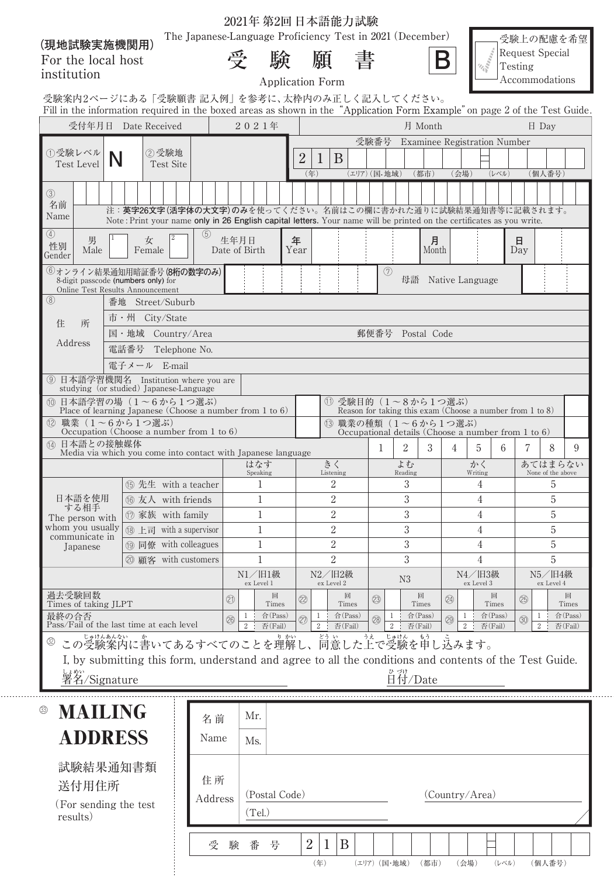| (現地試験実施機関用)                                                                                                                |                                                                                                                                                                                     | The Japanese-Language Proficiency Test in 2021 (December) |                       |                              |                                  |              |               |                       |                     |                                                                       | 受験上の配慮を希望                                           |                              |  |
|----------------------------------------------------------------------------------------------------------------------------|-------------------------------------------------------------------------------------------------------------------------------------------------------------------------------------|-----------------------------------------------------------|-----------------------|------------------------------|----------------------------------|--------------|---------------|-----------------------|---------------------|-----------------------------------------------------------------------|-----------------------------------------------------|------------------------------|--|
| For the local host<br>institution                                                                                          |                                                                                                                                                                                     |                                                           | 受                     | 験<br><b>Application Form</b> | 願                                |              |               |                       | Β                   |                                                                       | <b>Request Special</b><br>Testing<br>Accommodations |                              |  |
| 受験案内2ページにある「受験願書 記入例」を参考に、太枠内のみ正しく記入してください。                                                                                |                                                                                                                                                                                     |                                                           |                       |                              |                                  |              |               |                       |                     |                                                                       |                                                     |                              |  |
| Fill in the information required in the boxed areas as shown in the "Application Form Example" on page 2 of the Test Guide |                                                                                                                                                                                     |                                                           |                       |                              |                                  |              |               |                       |                     |                                                                       |                                                     |                              |  |
|                                                                                                                            | 受付年月日 Date Received                                                                                                                                                                 |                                                           | 2021年                 |                              |                                  |              |               | 月 Month               |                     |                                                                       |                                                     | $\boxminus$ Day              |  |
| ①受験レベル                                                                                                                     | ②受験地                                                                                                                                                                                |                                                           |                       |                              |                                  |              |               |                       |                     | 受験番号 Examinee Registration Number                                     |                                                     |                              |  |
| <b>Test Level</b>                                                                                                          | N<br><b>Test Site</b>                                                                                                                                                               |                                                           |                       | $\overline{2}$               | B<br>$\perp$<br>(年)              | (エリア) (国.地域) |               | (都市)                  | (会場)                | (レベル)                                                                 |                                                     | (個人番号)                       |  |
| $\circled{3}$<br>名前<br>Name                                                                                                | 注:英字26文字(活字体の大文字)のみを使ってください。名前はこの欄に書かれた通りに試験結果通知書等に記載されます。<br>Note: Print your name only in 26 English capital letters. Your name will be printed on the certificates as you write. |                                                           |                       |                              |                                  |              |               |                       |                     |                                                                       |                                                     |                              |  |
| $\circled{4}$<br>男<br>性別<br>Male<br>Gender                                                                                 | 女<br>Female                                                                                                                                                                         | (5)                                                       | 生年月日<br>Date of Birth | 年<br>Year                    |                                  |              |               | 月<br>Month            |                     |                                                                       | 日<br>Day                                            |                              |  |
|                                                                                                                            | 6オンライン結果通知用暗証番号(8桁の数字のみ)<br>8-digit passcode (numbers only) for<br>Online Test Results Announcement                                                                                 |                                                           |                       |                              |                                  |              | (7)           | 母語 Native Language    |                     |                                                                       |                                                     |                              |  |
| $\circledS$                                                                                                                | 番地 Street/Suburb                                                                                                                                                                    |                                                           |                       |                              |                                  |              |               |                       |                     |                                                                       |                                                     |                              |  |
| 住<br>所                                                                                                                     | 市·州 City/State                                                                                                                                                                      |                                                           |                       |                              |                                  |              |               |                       |                     |                                                                       |                                                     |                              |  |
| Address                                                                                                                    | 国·地域 Country/Area                                                                                                                                                                   |                                                           |                       |                              |                                  |              |               | 郵便番号 Postal Code      |                     |                                                                       |                                                     |                              |  |
|                                                                                                                            | 電話番号<br>電子メール E-mail                                                                                                                                                                | Telephone No.                                             |                       |                              |                                  |              |               |                       |                     |                                                                       |                                                     |                              |  |
|                                                                                                                            | ⑨ 日本語学習機関名 Institution where you are                                                                                                                                                |                                                           |                       |                              |                                  |              |               |                       |                     |                                                                       |                                                     |                              |  |
|                                                                                                                            | studying (or studied) Japanese-Language<br>10 日本語学習の場 (1~6から1つ選ぶ)                                                                                                                   |                                                           |                       |                              |                                  |              |               | 1 受験目的 (1~8から1つ選ぶ)    |                     |                                                                       |                                                     |                              |  |
|                                                                                                                            | Place of learning Japanese (Choose a number from 1 to $6$ )                                                                                                                         |                                                           |                       |                              |                                  |              |               |                       |                     | Reason for taking this exam (Choose a number from $1 \text{ to } 8$ ) |                                                     |                              |  |
|                                                                                                                            | (2) 職業 (1~6から1つ選ぶ)<br>Occupation (Choose a number from 1 to 6)                                                                                                                      |                                                           |                       |                              |                                  |              |               | (3) 職業の種類 (1~6から1つ選ぶ) |                     | Occupational details (Choose a number from 1 to 6)                    |                                                     |                              |  |
| (4) 日本語との接触媒体                                                                                                              | Media via which you come into contact with Japanese language                                                                                                                        |                                                           |                       |                              |                                  |              | 2<br>1        | 3                     | 4                   | 6<br>5                                                                |                                                     | 8                            |  |
|                                                                                                                            |                                                                                                                                                                                     |                                                           | はなす<br>Speaking       |                              | きく<br>Listening                  |              | よむ<br>Reading |                       |                     | かく<br>Writing                                                         |                                                     | あてはまらない<br>None of the above |  |
|                                                                                                                            | ⑮ 先生 with a teacher                                                                                                                                                                 |                                                           | 1                     |                              | 2                                |              |               | 3                     |                     | 4                                                                     |                                                     | 5                            |  |
| する相手                                                                                                                       | 日本語を使用   6 友人 with friends                                                                                                                                                          |                                                           | $\mathbf{1}$          |                              | $\sqrt{2}$                       |              |               | 3                     | 4                   |                                                                       | $\mathbf 5$                                         |                              |  |
| The person with<br>whom you usually                                                                                        | ⑦ 家族 with family<br>18 上司 with a supervisor                                                                                                                                         |                                                           | 1<br>1                |                              | $\overline{2}$<br>$\overline{2}$ |              | 3<br>3        |                       | 4<br>$\overline{4}$ |                                                                       |                                                     | 5<br>$\overline{5}$          |  |
| communicate in<br>Japanese                                                                                                 | <b>19 同僚</b> with colleagues                                                                                                                                                        |                                                           | 1                     |                              | $\overline{2}$                   |              |               | 3                     |                     | 4                                                                     |                                                     | 5                            |  |
|                                                                                                                            | 20 顧客 with customers                                                                                                                                                                |                                                           | 1                     |                              | $\overline{2}$                   |              |               | 3                     |                     | 4                                                                     |                                                     | 5                            |  |
|                                                                                                                            |                                                                                                                                                                                     |                                                           | N1/旧1級<br>ex Level 1  |                              | N2/旧2級<br>ex Level 2             |              | N3            |                       |                     | N4/旧3級<br>ex Level 3                                                  |                                                     | N5/旧4級<br>ex Level 4         |  |
| 過去受験回数<br>Times of taking JLPT                                                                                             |                                                                                                                                                                                     |                                                           | (21)                  | 回<br>$^{\circledR}$<br>Times |                                  | 回<br>Times   | 23)           | 回<br>Times            | 24                  | 回<br>Times                                                            | 25                                                  |                              |  |
| 最終の合否                                                                                                                      |                                                                                                                                                                                     |                                                           | 1<br>26               | 合(Pass)<br>27)               | $\mathbf{1}$                     | 合(Pass)      | 28)           | 合(Pass)               | 1<br>29             | 合(Pass)                                                               | $\circledS$                                         | $\mathbf{1}$                 |  |
|                                                                                                                            | Pass/Fail of the last time at each level<br>この受験案内に書いてあるすべてのことを理解し、同意した上で受験を申し込みます。                                                                                                 |                                                           | $\overline{2}$        | 否(Fail)                      | 2                                | 否(Fail)      | $\sqrt{2}$    | 否(Fail)               | $\,2$               | 否(Fail)                                                               |                                                     | 2                            |  |
|                                                                                                                            | I, by submitting this form, understand and agree to all the conditions and contents of the Test Guide.                                                                              |                                                           |                       |                              |                                  |              |               |                       |                     |                                                                       |                                                     |                              |  |
| しょめい<br>署名/Signature                                                                                                       |                                                                                                                                                                                     |                                                           |                       |                              |                                  |              |               | o<br>The Date         |                     |                                                                       |                                                     |                              |  |
| <b>MAILING</b><br>$\circledS$                                                                                              |                                                                                                                                                                                     |                                                           |                       |                              |                                  |              |               |                       |                     |                                                                       |                                                     |                              |  |
|                                                                                                                            |                                                                                                                                                                                     | 名前                                                        | Mr.                   |                              |                                  |              |               |                       |                     |                                                                       |                                                     |                              |  |
| <b>ADDRESS</b>                                                                                                             |                                                                                                                                                                                     | Name                                                      | Ms.                   |                              |                                  |              |               |                       |                     |                                                                       |                                                     |                              |  |
| 試験結果通知書類                                                                                                                   |                                                                                                                                                                                     |                                                           |                       |                              |                                  |              |               |                       |                     |                                                                       |                                                     |                              |  |
| 送付用住所                                                                                                                      |                                                                                                                                                                                     | 住所                                                        |                       |                              |                                  |              |               |                       |                     |                                                                       |                                                     |                              |  |
| (For sending the test)                                                                                                     |                                                                                                                                                                                     | Address                                                   | (Tel.)                | (Postal Code)                |                                  |              |               |                       |                     | (Country/Area)                                                        |                                                     |                              |  |
| results)                                                                                                                   |                                                                                                                                                                                     |                                                           |                       |                              |                                  |              |               |                       |                     |                                                                       |                                                     |                              |  |
|                                                                                                                            |                                                                                                                                                                                     | 受                                                         | 験番                    | 号                            | $\overline{2}$<br>1              | B            |               |                       |                     |                                                                       |                                                     |                              |  |

. . . . .

2021年第2回日本語能力試験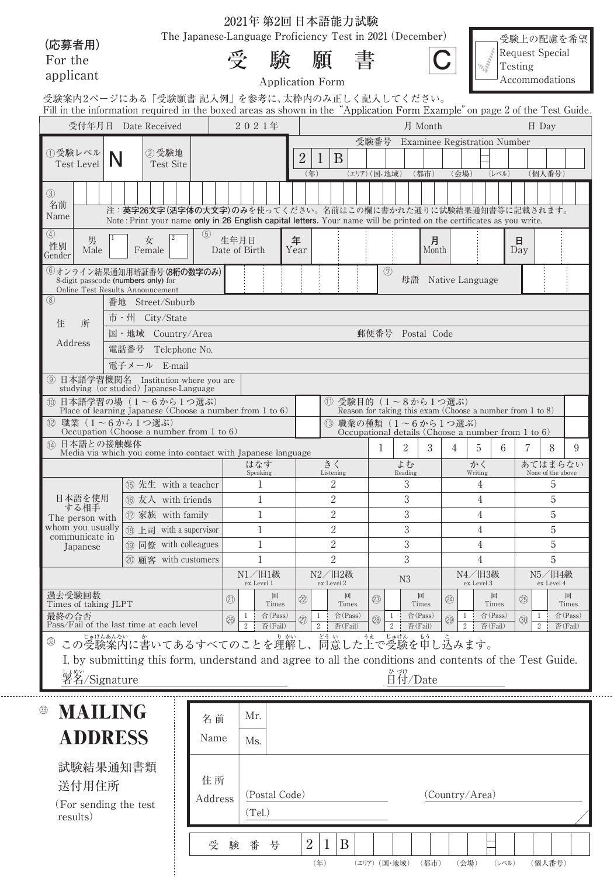2021年第2回日本語能力試験

The Japanese-Language Proficiency Test in 2021 (December)

**(応募者用)** For the applicant

| $\cdot$<br>۰ | 比全<br>۰e |
|--------------|----------|
|              |          |
|              | 尉天<br>×  |
|              |          |

受 験 願 書



(年) (エリア) (国・地域) (都市) (会場) (レベル) (個人番号)

受験上の配慮を希望 Request Special Testing Accommodations

Application Form

|                                            |              | 受験案内2ページにある「受験願書 記入例」を参考に、太枠内のみ正しく記入してください。<br>Fill in the information required in the boxed areas as shown in the "Application Form Example" on page 2 of the Test Guide           |  |                  |                                                                                |                 |                             |                      |                                                                                             |                                     |    |      |                 |                                                                                |                      |                 |                             |                      |                              |                    |  |
|--------------------------------------------|--------------|-------------------------------------------------------------------------------------------------------------------------------------------------------------------------------------|--|------------------|--------------------------------------------------------------------------------|-----------------|-----------------------------|----------------------|---------------------------------------------------------------------------------------------|-------------------------------------|----|------|-----------------|--------------------------------------------------------------------------------|----------------------|-----------------|-----------------------------|----------------------|------------------------------|--------------------|--|
|                                            |              | 受付年月日 Date Received                                                                                                                                                                 |  |                  |                                                                                | 2021年           |                             |                      |                                                                                             |                                     |    |      |                 | 月 Month                                                                        |                      |                 |                             |                      | $\boxminus$ Dav              |                    |  |
|                                            |              |                                                                                                                                                                                     |  |                  |                                                                                |                 |                             |                      |                                                                                             |                                     |    | 受験番号 |                 | Examinee Registration Number                                                   |                      |                 |                             |                      |                              |                    |  |
| ①受験レベル<br><b>Test Level</b>                |              | ②受験地<br><b>Test Site</b>                                                                                                                                                            |  |                  | $\overline{2}$<br>B<br>$\perp$<br>(エリア) (国·地域)<br>(年)<br>(都市)<br>(会場)<br>(レベル) |                 |                             |                      |                                                                                             |                                     |    |      |                 |                                                                                | (個人番号)               |                 |                             |                      |                              |                    |  |
| $\circled{3}$<br>名前<br>Name                |              | 注:英字26文字(活字体の大文字)のみを使ってください。名前はこの欄に書かれた通りに試験結果通知書等に記載されます。<br>Note: Print your name only in 26 English capital letters. Your name will be printed on the certificates as you write. |  |                  |                                                                                |                 |                             |                      |                                                                                             |                                     |    |      |                 |                                                                                |                      |                 |                             |                      |                              |                    |  |
| $\circled{4}$<br>男<br>性別<br>Male<br>Gender |              | 女<br>Female                                                                                                                                                                         |  | (5)              | 生年月日<br>Date of Birth                                                          |                 |                             | 年<br>Year            |                                                                                             |                                     |    |      |                 | 月<br>Month                                                                     |                      |                 |                             | 日<br>Day             |                              |                    |  |
|                                            |              | 6オンライン結果通知用暗証番号 (8桁の数字のみ)<br>8-digit passcode (numbers only) for<br>Online Test Results Announcement                                                                                |  |                  |                                                                                |                 |                             |                      |                                                                                             | (7)                                 | 母語 |      |                 | Native Language                                                                |                      |                 |                             |                      |                              |                    |  |
| $\circledS$                                |              | 番地 Street/Suburb                                                                                                                                                                    |  |                  |                                                                                |                 |                             |                      |                                                                                             |                                     |    |      |                 |                                                                                |                      |                 |                             |                      |                              |                    |  |
| 所<br>住                                     |              | 市·州 City/State                                                                                                                                                                      |  |                  |                                                                                |                 |                             |                      |                                                                                             |                                     |    |      |                 |                                                                                |                      |                 |                             |                      |                              |                    |  |
|                                            |              | 国·地域 Country/Area                                                                                                                                                                   |  | 郵便番号 Postal Code |                                                                                |                 |                             |                      |                                                                                             |                                     |    |      |                 |                                                                                |                      |                 |                             |                      |                              |                    |  |
| Address                                    |              | 電話番号<br>Telephone No.                                                                                                                                                               |  |                  |                                                                                |                 |                             |                      |                                                                                             |                                     |    |      |                 |                                                                                |                      |                 |                             |                      |                              |                    |  |
|                                            | 電子メール E-mail |                                                                                                                                                                                     |  |                  |                                                                                |                 |                             |                      |                                                                                             |                                     |    |      |                 |                                                                                |                      |                 |                             |                      |                              |                    |  |
|                                            |              | ⑨ 日本語学習機関名 Institution where you are<br>studying (or studied) Japanese-Language                                                                                                     |  |                  |                                                                                |                 |                             |                      |                                                                                             |                                     |    |      |                 |                                                                                |                      |                 |                             |                      |                              |                    |  |
|                                            |              | 10 日本語学習の場 (1~6から1つ選ぶ)<br>Place of learning Japanese (Choose a number from 1 to 6)                                                                                                  |  |                  |                                                                                |                 |                             |                      | 1 受験目的 (1~8から1つ選ぶ)<br>Reason for taking this exam (Choose a number from $1 \text{ to } 8$ ) |                                     |    |      |                 |                                                                                |                      |                 |                             |                      |                              |                    |  |
| (12)                                       |              | 職業 (1~6から1つ選ぶ)<br>Occupation (Choose a number from 1 to $6$ )                                                                                                                       |  |                  |                                                                                |                 |                             |                      |                                                                                             |                                     |    |      |                 | (3) 職業の種類 (1~6から1つ選ぶ)<br>Occupational details (Choose a number from 1 to $6$ ) |                      |                 |                             |                      |                              |                    |  |
| 14 日本語との接触媒体                               |              | Media via which you come into contact with Japanese language                                                                                                                        |  |                  |                                                                                |                 |                             |                      |                                                                                             |                                     |    | 1    | 2               | 3                                                                              | 4                    | 5               | 6                           | 7                    | 8                            | 9                  |  |
|                                            |              |                                                                                                                                                                                     |  |                  |                                                                                | はなす<br>Speaking |                             |                      | きく                                                                                          | Listening                           |    |      | よむ<br>Reading   |                                                                                |                      | かく<br>Writing   |                             |                      | あてはまらない<br>None of the above |                    |  |
|                                            |              | (6) 先生 with a teacher                                                                                                                                                               |  |                  |                                                                                |                 |                             | 2                    |                                                                                             |                                     |    | 3    |                 |                                                                                | 4                    |                 |                             | 5                    |                              |                    |  |
| 日本語を使用<br>する相手                             |              | 16 友人 with friends                                                                                                                                                                  |  | 1                |                                                                                |                 |                             | 2                    |                                                                                             |                                     |    | 3    |                 |                                                                                | 4                    |                 |                             | 5                    |                              |                    |  |
| The person with                            |              | <sup>1</sup> 家族 with family                                                                                                                                                         |  |                  |                                                                                |                 | 1                           |                      |                                                                                             | $\overline{2}$                      |    |      | 3               |                                                                                |                      | 4               |                             |                      | 5                            |                    |  |
| whom you usually<br>communicate in         |              | 18 上司 with a supervisor                                                                                                                                                             |  |                  |                                                                                | 1               |                             | $\overline{2}$       |                                                                                             |                                     |    |      | 3               |                                                                                | 4                    |                 |                             | 5                    |                              |                    |  |
| Japanese                                   |              | (1) 同僚 with colleagues                                                                                                                                                              |  | 1                |                                                                                |                 |                             | $\overline{2}$       |                                                                                             |                                     |    |      | 3               |                                                                                | 4                    |                 |                             | 5                    |                              |                    |  |
|                                            |              | 20 顧客 with customers                                                                                                                                                                |  |                  |                                                                                | $\overline{2}$  |                             |                      |                                                                                             |                                     | 3  |      | 4               |                                                                                |                      | 5               |                             |                      |                              |                    |  |
|                                            |              |                                                                                                                                                                                     |  |                  | N1/旧1級<br>ex Level 1                                                           |                 |                             | N2/旧2級<br>ex Level 2 |                                                                                             |                                     |    |      | N3              |                                                                                | N4/旧3級<br>ex Level 3 |                 |                             | N5/旧4級<br>ex Level 4 |                              |                    |  |
| 過去受験回数<br>Times of taking JLPT             |              |                                                                                                                                                                                     |  |                  | (21)                                                                           |                 | 回<br>Times                  | $^{\circledR}$       |                                                                                             | 回<br>Times                          |    | (23) |                 | 回<br>Times                                                                     | (24)                 |                 | 回<br>Times                  | 25                   |                              | 回<br>Times         |  |
| 最終の合否                                      |              | Pass/Fail of the last time at each level                                                                                                                                            |  |                  | 26                                                                             | 1<br>$\,2$      | $\hat{F}$ (Pass)<br>否(Fail) | 27)                  | $\mathbf{1}$<br>$\,2$                                                                       | $\hat{\triangle}$ (Pass)<br>否(Fail) |    | (28) | 1<br>$\sqrt{2}$ | $\hat{F}$ (Pass)<br>否(Fail)                                                    | 29                   | 1<br>$\sqrt{2}$ | $\hat{F}$ (Pass)<br>否(Fail) | $\circledS$          | 1<br>$\boldsymbol{2}$        | 合(Pass)<br>否(Fail) |  |
| (32)                                       |              |                                                                                                                                                                                     |  |                  |                                                                                |                 |                             |                      |                                                                                             |                                     |    |      |                 | 約ぶした上で受験を申し込みます。                                                               |                      |                 |                             |                      |                              |                    |  |
|                                            |              | I, by submitting this form, understand and agree to all the conditions and contents of the Test Guide.                                                                              |  |                  |                                                                                |                 |                             |                      |                                                                                             |                                     |    |      |                 |                                                                                |                      |                 |                             |                      |                              |                    |  |
| しょめい                                       |              |                                                                                                                                                                                     |  |                  |                                                                                |                 |                             |                      |                                                                                             |                                     |    |      |                 | o <<br>H付/Date                                                                 |                      |                 |                             |                      |                              |                    |  |
| 署名/Signature                               |              |                                                                                                                                                                                     |  |                  |                                                                                |                 |                             |                      |                                                                                             |                                     |    |      |                 |                                                                                |                      |                 |                             |                      |                              |                    |  |
| <b>MAILING</b><br>③                        |              |                                                                                                                                                                                     |  |                  |                                                                                | Mr.             |                             |                      |                                                                                             |                                     |    |      |                 |                                                                                |                      |                 |                             |                      |                              |                    |  |
|                                            |              |                                                                                                                                                                                     |  | 名前<br>Name       |                                                                                | Ms.             |                             |                      |                                                                                             |                                     |    |      |                 |                                                                                |                      |                 |                             |                      |                              |                    |  |
| <b>ADDRESS</b>                             |              |                                                                                                                                                                                     |  |                  |                                                                                |                 |                             |                      |                                                                                             |                                     |    |      |                 |                                                                                |                      |                 |                             |                      |                              |                    |  |
| 試験結果通知書類                                   |              |                                                                                                                                                                                     |  |                  |                                                                                |                 |                             |                      |                                                                                             |                                     |    |      |                 |                                                                                |                      |                 |                             |                      |                              |                    |  |
| 住所<br>送付用住所                                |              |                                                                                                                                                                                     |  |                  |                                                                                |                 |                             |                      |                                                                                             |                                     |    |      |                 |                                                                                |                      |                 |                             |                      |                              |                    |  |
| (For sending the test                      |              |                                                                                                                                                                                     |  | Address          |                                                                                | (Tel.)          | (Postal Code)               |                      |                                                                                             |                                     |    |      |                 |                                                                                |                      | (Country/Area)  |                             |                      |                              |                    |  |
| results)                                   |              |                                                                                                                                                                                     |  |                  |                                                                                |                 |                             |                      |                                                                                             |                                     |    |      |                 |                                                                                |                      |                 |                             |                      |                              |                    |  |
|                                            |              |                                                                                                                                                                                     |  | 受                | 験                                                                              | 番               | 号                           | $\overline{2}$       | $\mathbf{1}$                                                                                | B                                   |    |      |                 |                                                                                |                      |                 |                             |                      |                              |                    |  |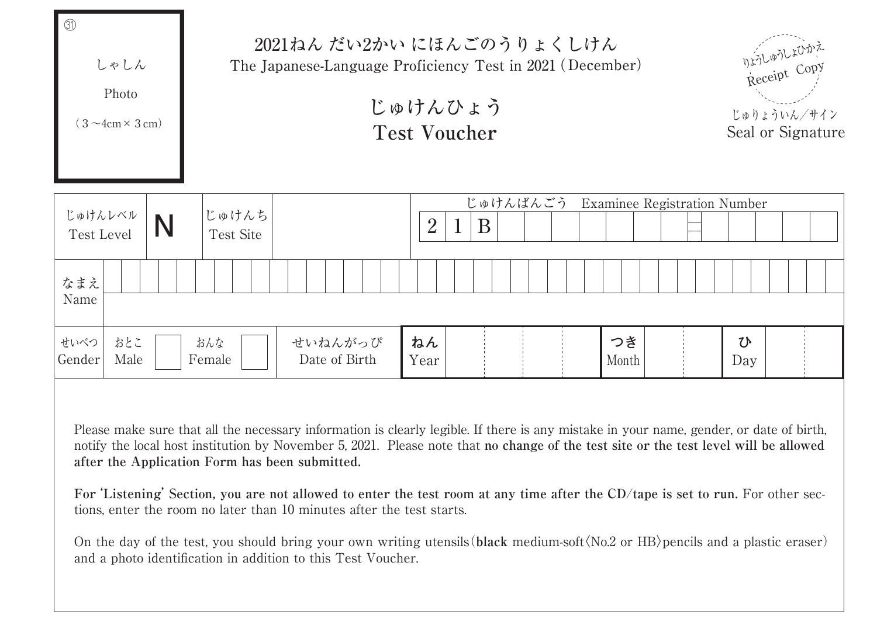

Please make sure that all the necessary information is clearly legible. If there is any mistake in your name, gender, or date of birth, notify the local host institution by November 5, 2021. Please note that **no change of the test site or the test level will be allowed after the Application Form has been submitted.**

**For'Listening' Section, you are not allowed to enter the test room at any time after the CD/tape is set to run.** For other sections, enter the room no later than 10 minutes after the test starts.

On the day of the test, you should bring your own writing utensils(**black** medium-sof**〈**t No.2 or HB**〉**pencils and a plastic eraser) and a photo identification in addition to this Test Voucher.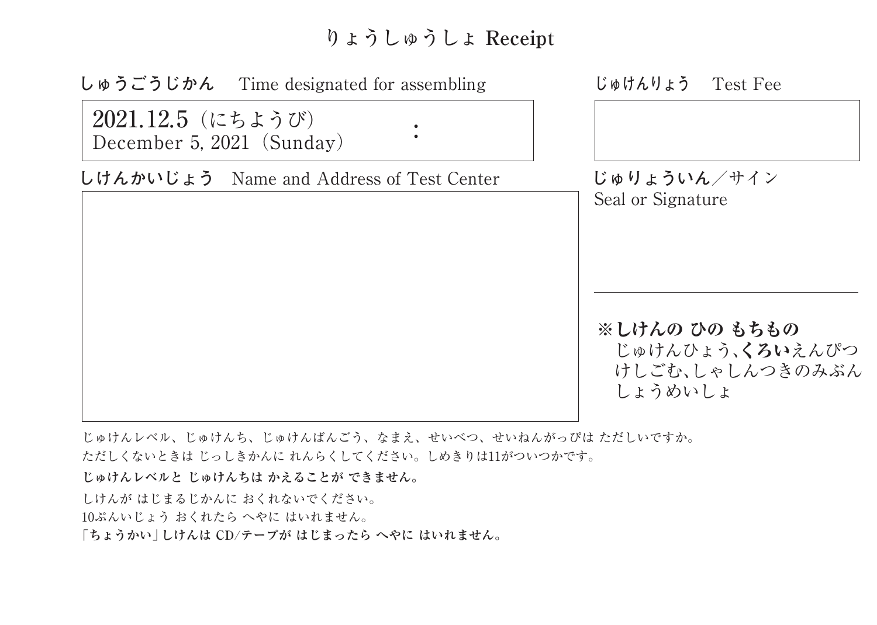## りょうしゅうしょ **Receipt**



じゅけんレベル、じゅけんち、じゅけんばんごう、なまえ、せいべつ、せいねんがっぴは ただしいですか。 ただしくないときは じっしきかんに れんらくしてください。しめきりは11がついつかです。

**じゅけんレベルと じゅけんちは かえることが できません。**

しけんが はじまるじかんに おくれないでください。 10ぷんいじょう おくれたら へやに はいれません。 **「ちょうかい」しけんは CD/テープが はじまったら へやに はいれません。**